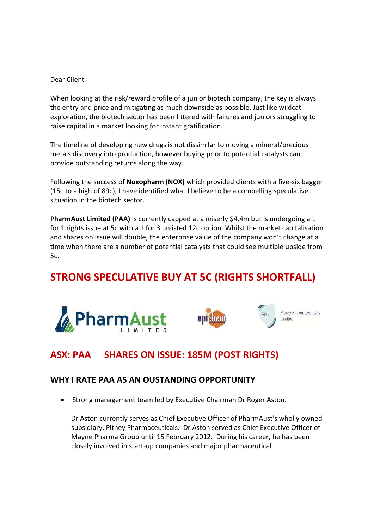#### Dear Client

When looking at the risk/reward profile of a junior biotech company, the key is always the entry and price and mitigating as much downside as possible. Just like wildcat exploration, the biotech sector has been littered with failures and juniors struggling to raise capital in a market looking for instant gratification.

The timeline of developing new drugs is not dissimilar to moving a mineral/precious metals discovery into production, however buying prior to potential catalysts can provide outstanding returns along the way.

Following the success of **Noxopharm (NOX)** which provided clients with a five-six bagger (15c to a high of 89c), I have identified what I believe to be a compelling speculative situation in the biotech sector.

**PharmAust Limited (PAA)** is currently capped at a miserly \$4.4m but is undergoing a 1 for 1 rights issue at 5c with a 1 for 3 unlisted 12c option. Whilst the market capitalisation and shares on issue will double, the enterprise value of the company won't change at a time when there are a number of potential catalysts that could see multiple upside from 5c.

# **STRONG SPECULATIVE BUY AT 5C (RIGHTS SHORTFALL)**





**Pitney Pharmaceuticals** Limited

# **ASX: PAA SHARES ON ISSUE: 185M (POST RIGHTS)**

### **WHY I RATE PAA AS AN OUSTANDING OPPORTUNITY**

• Strong management team led by Executive Chairman Dr Roger Aston.

 Dr Aston currently serves as Chief Executive Officer of PharmAust's wholly owned subsidiary, Pitney Pharmaceuticals. Dr Aston served as Chief Executive Officer of Mayne Pharma Group until 15 February 2012. During his career, he has been closely involved in start-up companies and major pharmaceutical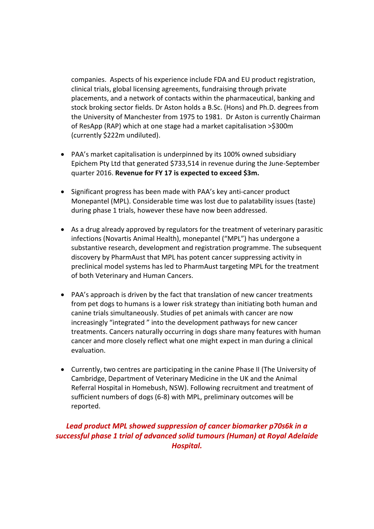companies. Aspects of his experience include FDA and EU product registration, clinical trials, global licensing agreements, fundraising through private placements, and a network of contacts within the pharmaceutical, banking and stock broking sector fields. Dr Aston holds a B.Sc. (Hons) and Ph.D. degrees from the University of Manchester from 1975 to 1981. Dr Aston is currently Chairman of ResApp (RAP) which at one stage had a market capitalisation >\$300m (currently \$222m undiluted).

- PAA's market capitalisation is underpinned by its 100% owned subsidiary Epichem Pty Ltd that generated \$733,514 in revenue during the June-September quarter 2016. **Revenue for FY 17 is expected to exceed \$3m.**
- Significant progress has been made with PAA's key anti-cancer product Monepantel (MPL). Considerable time was lost due to palatability issues (taste) during phase 1 trials, however these have now been addressed.
- As a drug already approved by regulators for the treatment of veterinary parasitic infections (Novartis Animal Health), monepantel ("MPL") has undergone a substantive research, development and registration programme. The subsequent discovery by PharmAust that MPL has potent cancer suppressing activity in preclinical model systems has led to PharmAust targeting MPL for the treatment of both Veterinary and Human Cancers.
- PAA's approach is driven by the fact that translation of new cancer treatments from pet dogs to humans is a lower risk strategy than initiating both human and canine trials simultaneously. Studies of pet animals with cancer are now increasingly "integrated " into the development pathways for new cancer treatments. Cancers naturally occurring in dogs share many features with human cancer and more closely reflect what one might expect in man during a clinical evaluation.
- Currently, two centres are participating in the canine Phase II (The University of Cambridge, Department of Veterinary Medicine in the UK and the Animal Referral Hospital in Homebush, NSW). Following recruitment and treatment of sufficient numbers of dogs (6-8) with MPL, preliminary outcomes will be reported.

*Lead product MPL showed suppression of cancer biomarker p70s6k in a successful phase 1 trial of advanced solid tumours (Human) at Royal Adelaide Hospital.*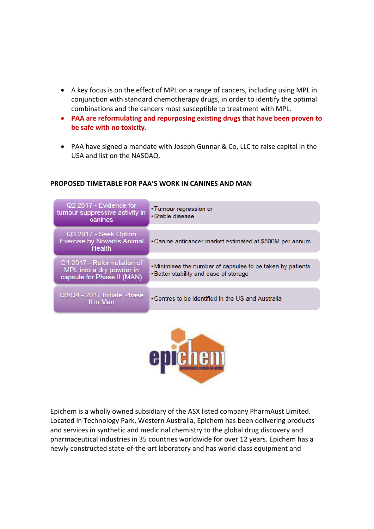- A key focus is on the effect of MPL on a range of cancers, including using MPL in conjunction with standard chemotherapy drugs, in order to identify the optimal combinations and the cancers most susceptible to treatment with MPL.
- x **PAA are reformulating and repurposing existing drugs that have been proven to be safe with no toxicity.**
- PAA have signed a mandate with Joseph Gunnar & Co, LLC to raise capital in the USA and list on the NASDAQ.

| Q2 2017 - Evidence for<br>tumour suppressive activity in<br>canines                  | • Tumour regression or<br>• Stable disease                                                           |
|--------------------------------------------------------------------------------------|------------------------------------------------------------------------------------------------------|
| Q3 2017 - Seek Option<br><b>Exercise by Novartis Animal</b><br><b>Health</b>         | • Canine anticancer market estimated at \$500M per annum                                             |
| Q1 2017 - Reformulation of<br>MPL into a dry powder in<br>capsule for Phase II (MAN) | . Minimises the number of capsules to be taken by patients<br>. Better stability and ease of storage |
| Q3/Q4 - 2017 Initiate Phase<br>II in Man                                             | • Centres to be identified in the US and Australia                                                   |
|                                                                                      |                                                                                                      |

### **PROPOSED TIMETABLE FOR PAA'S WORK IN CANINES AND MAN**



Epichem is a wholly owned subsidiary of the ASX listed company PharmAust Limited. Located in Technology Park, Western Australia, Epichem has been delivering products and services in synthetic and medicinal chemistry to the global drug discovery and pharmaceutical industries in 35 countries worldwide for over 12 years. Epichem has a newly constructed state-of-the-art laboratory and has world class equipment and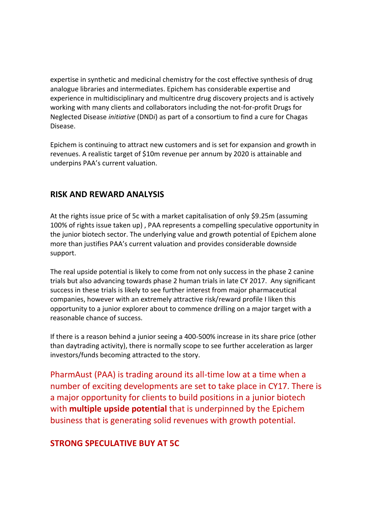expertise in synthetic and medicinal chemistry for the cost effective synthesis of drug analogue libraries and intermediates. Epichem has considerable expertise and experience in multidisciplinary and multicentre drug discovery projects and is actively working with many clients and collaborators including the not-for-profit Drugs for Neglected Disease *initiative* (DND*i*) as part of a consortium to find a cure for Chagas Disease.

Epichem is continuing to attract new customers and is set for expansion and growth in revenues. A realistic target of \$10m revenue per annum by 2020 is attainable and underpins PAA's current valuation.

## **RISK AND REWARD ANALYSIS**

At the rights issue price of 5c with a market capitalisation of only \$9.25m (assuming 100% of rights issue taken up) , PAA represents a compelling speculative opportunity in the junior biotech sector. The underlying value and growth potential of Epichem alone more than justifies PAA's current valuation and provides considerable downside support.

The real upside potential is likely to come from not only success in the phase 2 canine trials but also advancing towards phase 2 human trials in late CY 2017. Any significant success in these trials is likely to see further interest from major pharmaceutical companies, however with an extremely attractive risk/reward profile I liken this opportunity to a junior explorer about to commence drilling on a major target with a reasonable chance of success.

If there is a reason behind a junior seeing a 400-500% increase in its share price (other than daytrading activity), there is normally scope to see further acceleration as larger investors/funds becoming attracted to the story.

PharmAust (PAA) is trading around its all-time low at a time when a number of exciting developments are set to take place in CY17. There is a major opportunity for clients to build positions in a junior biotech with **multiple upside potential** that is underpinned by the Epichem business that is generating solid revenues with growth potential.

## **STRONG SPECULATIVE BUY AT 5C**